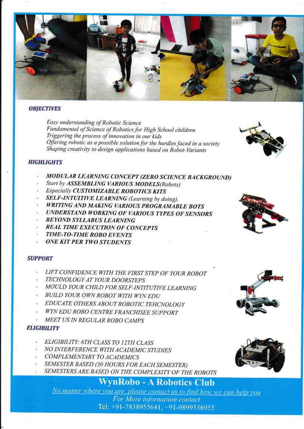

### **OBJECTIVES**

Easy understanding of Robotic Science Fundamental of Science of Robotics for High School children Triggering the process of innovation in our kids Offering robotic as a possible solution for the hurdles faced in a society Shaping creativity to design applications based on Robot-Variants



### **HIGHLIGHTS**

- MODULAR LEARNING CONCEPT (ZERO SCIENCE BACKGROUND)
- Start by ASSEMBLING VARIOUS MODELS(Robots)
- Especially CUSTOMIZABLE ROBOTICS KITS
- SELF-INTUITIVE LEARNING (Learning by doing).
- **WRITING AND MAKING VARIOUS PROGRAMABLE BOTS**
- **UNDERSTAND WORKING OF VARIOUS TYPES OF SENSORS**
- **BEYOND SYLLABUS LEARNING**
- **REAL TIME EXECUTION OF CONCEPTS**
- **TIME-TO-TIME ROBO EVENTS**
- **ONE KIT PER TWO STUDENTS**

#### **SUPPORT**

- LIFT CONFIDENCE WITH THE FIRST STEP OF YOUR ROBOT
- TECHNOLOGY AT YOUR DOORSTEPS
- MOULD YOUR CHILD FOR SELF-INTITUTIVE LEARNING
- BUILD YOUR OWN ROBOT WITH WYN EDU
- EDUCATE OTHERS ABOUT ROBOTIC TEHCNOLOGY
- WYN EDU ROBO CENTRE FRANCHISEE SUPPORT
- MEET US IN REGULAR ROBO CAMPS

## **ELIGIBILITY**

- ELIGIBILITY: 6TH CLASS TO 12TH CLASS
- NO INTERFERENCE WITH ACADEMIC STUDIES
- **COMPLEMENTARY TO ACADEMICS**
- SEMESTER BASED (30 HOURS FOR EACH SEMESTER)
- SEMESTERS ARE BASED ON THE COMPLEXITY OF THE ROBOTS

**WynRobo-A Robotics Club** 

No matter where you are, please contact us to find how we can help you For More information contact Tel: +91-7838955641, +91-9899336955